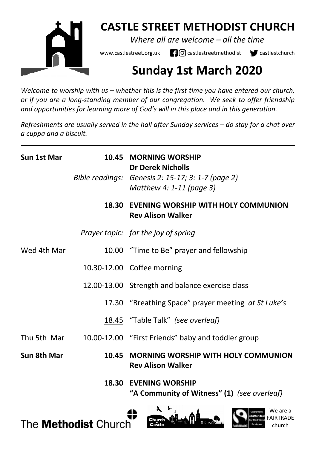

# **CASTLE STREET METHODIST CHURCH**

*Where all are welcome – all the time* 

www.castlestreet.org.uk  $\Box$   $\Box$  castlestreetmethodist  $\Box$  castlestchurch

# **Sunday 1st March 2020**

*Welcome to worship with us – whether this is the first time you have entered our church, or if you are a long-standing member of our congregation. We seek to offer friendship and opportunities for learning more of God's will in this place and in this generation.* 

*Refreshments are usually served in the hall after Sunday services – do stay for a chat over a cuppa and a biscuit.*

| Sun 1st Mar |       | 10.45 MORNING WORSHIP<br><b>Dr Derek Nicholls</b>                             |
|-------------|-------|-------------------------------------------------------------------------------|
|             |       | Bible readings: Genesis 2: 15-17; 3: 1-7 (page 2)<br>Matthew 4: 1-11 (page 3) |
|             | 18.30 | EVENING WORSHIP WITH HOLY COMMUNION<br><b>Rev Alison Walker</b>               |
|             |       | Prayer topic: for the joy of spring                                           |
| Wed 4th Mar |       | 10.00 "Time to Be" prayer and fellowship                                      |
|             |       | 10.30-12.00 Coffee morning                                                    |
|             |       | 12.00-13.00 Strength and balance exercise class                               |
|             |       | 17.30 "Breathing Space" prayer meeting at St Luke's                           |
|             |       | 18.45 "Table Talk" (see overleaf)                                             |
|             |       | Thu 5th Mar 10.00-12.00 "First Friends" baby and toddler group                |
| Sun 8th Mar | 10.45 | <b>MORNING WORSHIP WITH HOLY COMMUNION</b><br><b>Rev Alison Walker</b>        |
|             |       | <b>18.30 EVENING WORSHIP</b>                                                  |

 **"A Community of Witness" (1)** *(see overleaf)*





We are a

church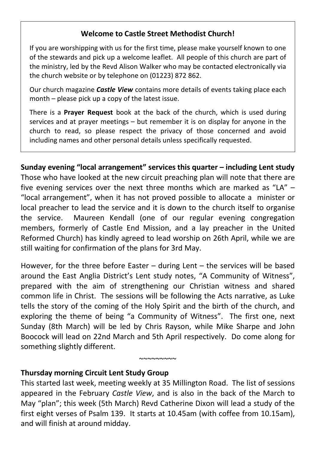# **Welcome to Castle Street Methodist Church!**

If you are worshipping with us for the first time, please make yourself known to one of the stewards and pick up a welcome leaflet. All people of this church are part of the ministry, led by the Revd Alison Walker who may be contacted electronically via the church website or by telephone on (01223) 872 862.

Our church magazine *Castle View* contains more details of events taking place each month – please pick up a copy of the latest issue.

There is a **Prayer Request** book at the back of the church, which is used during services and at prayer meetings – but remember it is on display for anyone in the church to read, so please respect the privacy of those concerned and avoid including names and other personal details unless specifically requested.

**Sunday evening "local arrangement" services this quarter – including Lent study**  Those who have looked at the new circuit preaching plan will note that there are five evening services over the next three months which are marked as "LA" – "local arrangement", when it has not proved possible to allocate a minister or local preacher to lead the service and it is down to the church itself to organise the service. Maureen Kendall (one of our regular evening congregation members, formerly of Castle End Mission, and a lay preacher in the United Reformed Church) has kindly agreed to lead worship on 26th April, while we are still waiting for confirmation of the plans for 3rd May.

However, for the three before Easter – during Lent – the services will be based around the East Anglia District's Lent study notes, "A Community of Witness", prepared with the aim of strengthening our Christian witness and shared common life in Christ. The sessions will be following the Acts narrative, as Luke tells the story of the coming of the Holy Spirit and the birth of the church, and exploring the theme of being "a Community of Witness". The first one, next Sunday (8th March) will be led by Chris Rayson, while Mike Sharpe and John Boocock will lead on 22nd March and 5th April respectively. Do come along for something slightly different.

# **Thursday morning Circuit Lent Study Group**

This started last week, meeting weekly at 35 Millington Road. The list of sessions appeared in the February *Castle View*, and is also in the back of the March to May "plan"; this week (5th March) Revd Catherine Dixon will lead a study of the first eight verses of Psalm 139. It starts at 10.45am (with coffee from 10.15am), and will finish at around midday.

~~~~~~~~~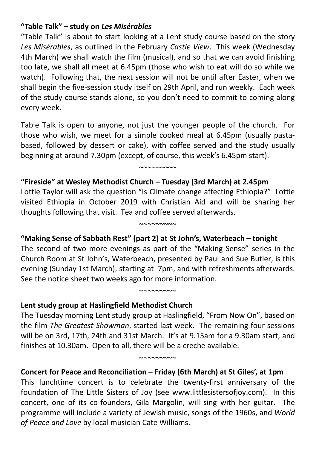## **"Table Talk" – study on** *Les Misérables*

"Table Talk" is about to start looking at a Lent study course based on the story *Les Misérables*, as outlined in the February *Castle View*. This week (Wednesday 4th March) we shall watch the film (musical), and so that we can avoid finishing too late, we shall all meet at 6.45pm (those who wish to eat will do so while we watch). Following that, the next session will not be until after Easter, when we shall begin the five-session study itself on 29th April, and run weekly. Each week of the study course stands alone, so you don't need to commit to coming along every week.

Table Talk is open to anyone, not just the younger people of the church. For those who wish, we meet for a simple cooked meal at 6.45pm (usually pastabased, followed by dessert or cake), with coffee served and the study usually beginning at around 7.30pm (except, of course, this week's 6.45pm start).

 $~\sim$   $\sim$   $\sim$   $\sim$   $\sim$   $\sim$ 

## **"Fireside" at Wesley Methodist Church – Tuesday (3rd March) at 2.45pm**

Lottie Taylor will ask the question "Is Climate change affecting Ethiopia?" Lottie visited Ethiopia in October 2019 with Christian Aid and will be sharing her thoughts following that visit. Tea and coffee served afterwards.

~~~~~~~~~

## **"Making Sense of Sabbath Rest" (part 2) at St John's, Waterbeach – tonight**

The second of two more evenings as part of the "Making Sense" series in the Church Room at St John's, Waterbeach, presented by Paul and Sue Butler, is this evening (Sunday 1st March), starting at 7pm, and with refreshments afterwards. See the notice sheet two weeks ago for more information.

 $~\sim$  $\sim$  $\sim$  $\sim$  $\sim$  $\sim$ 

#### **Lent study group at Haslingfield Methodist Church**

The Tuesday morning Lent study group at Haslingfield, "From Now On", based on the film *The Greatest Showman*, started last week. The remaining four sessions will be on 3rd, 17th, 24th and 31st March. It's at 9.15am for a 9.30am start, and finishes at 10.30am. Open to all, there will be a creche available.

~~~~~~~~~

## **Concert for Peace and Reconciliation – Friday (6th March) at St Giles', at 1pm**

This lunchtime concert is to celebrate the twenty-first anniversary of the foundation of The Little Sisters of Joy (see www.littlesistersofjoy.com). In this concert, one of its co-founders, Gila Margolin, will sing with her guitar. The programme will include a variety of Jewish music, songs of the 1960s, and *World of Peace and Love* by local musician Cate Williams.